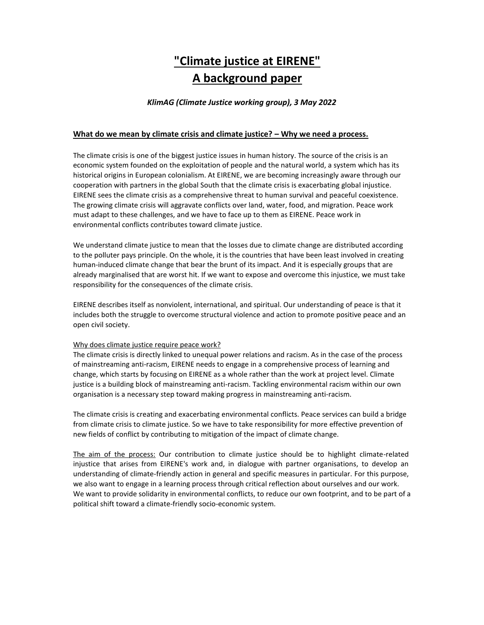# **"Climate justice at EIRENE" A background paper**

#### *KlimAG (Climate Justice working group), 3 May 2022*

#### **What do we mean by climate crisis and climate justice? – Why we need a process.**

The climate crisis is one of the biggest justice issues in human history. The source of the crisis is an economic system founded on the exploitation of people and the natural world, a system which has its historical origins in European colonialism. At EIRENE, we are becoming increasingly aware through our cooperation with partners in the global South that the climate crisis is exacerbating global injustice. EIRENE sees the climate crisis as a comprehensive threat to human survival and peaceful coexistence. The growing climate crisis will aggravate conflicts over land, water, food, and migration. Peace work must adapt to these challenges, and we have to face up to them as EIRENE. Peace work in environmental conflicts contributes toward climate justice.

We understand climate justice to mean that the losses due to climate change are distributed according to the polluter pays principle. On the whole, it is the countries that have been least involved in creating human-induced climate change that bear the brunt of its impact. And it is especially groups that are already marginalised that are worst hit. If we want to expose and overcome this injustice, we must take responsibility for the consequences of the climate crisis.

EIRENE describes itself as nonviolent, international, and spiritual. Our understanding of peace is that it includes both the struggle to overcome structural violence and action to promote positive peace and an open civil society.

#### Why does climate justice require peace work?

The climate crisis is directly linked to unequal power relations and racism. As in the case of the process of mainstreaming anti-racism, EIRENE needs to engage in a comprehensive process of learning and change, which starts by focusing on EIRENE as a whole rather than the work at project level. Climate justice is a building block of mainstreaming anti-racism. Tackling environmental racism within our own organisation is a necessary step toward making progress in mainstreaming anti-racism.

The climate crisis is creating and exacerbating environmental conflicts. Peace services can build a bridge from climate crisis to climate justice. So we have to take responsibility for more effective prevention of new fields of conflict by contributing to mitigation of the impact of climate change.

The aim of the process: Our contribution to climate justice should be to highlight climate-related injustice that arises from EIRENE's work and, in dialogue with partner organisations, to develop an understanding of climate-friendly action in general and specific measures in particular. For this purpose, we also want to engage in a learning process through critical reflection about ourselves and our work. We want to provide solidarity in environmental conflicts, to reduce our own footprint, and to be part of a political shift toward a climate-friendly socio-economic system.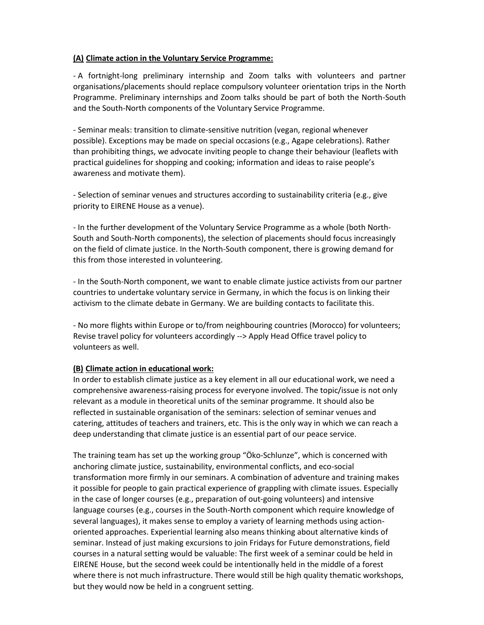### **(A) Climate action in the Voluntary Service Programme:**

- A fortnight-long preliminary internship and Zoom talks with volunteers and partner organisations/placements should replace compulsory volunteer orientation trips in the North Programme. Preliminary internships and Zoom talks should be part of both the North-South and the South-North components of the Voluntary Service Programme.

- Seminar meals: transition to climate-sensitive nutrition (vegan, regional whenever possible). Exceptions may be made on special occasions (e.g., Agape celebrations). Rather than prohibiting things, we advocate inviting people to change their behaviour (leaflets with practical guidelines for shopping and cooking; information and ideas to raise people's awareness and motivate them).

- Selection of seminar venues and structures according to sustainability criteria (e.g., give priority to EIRENE House as a venue).

- In the further development of the Voluntary Service Programme as a whole (both North-South and South-North components), the selection of placements should focus increasingly on the field of climate justice. In the North-South component, there is growing demand for this from those interested in volunteering.

- In the South-North component, we want to enable climate justice activists from our partner countries to undertake voluntary service in Germany, in which the focus is on linking their activism to the climate debate in Germany. We are building contacts to facilitate this.

- No more flights within Europe or to/from neighbouring countries (Morocco) for volunteers; Revise travel policy for volunteers accordingly --> Apply Head Office travel policy to volunteers as well.

### **(B) Climate action in educational work:**

In order to establish climate justice as a key element in all our educational work, we need a comprehensive awareness-raising process for everyone involved. The topic/issue is not only relevant as a module in theoretical units of the seminar programme. It should also be reflected in sustainable organisation of the seminars: selection of seminar venues and catering, attitudes of teachers and trainers, etc. This is the only way in which we can reach a deep understanding that climate justice is an essential part of our peace service.

The training team has set up the working group "Öko-Schlunze", which is concerned with anchoring climate justice, sustainability, environmental conflicts, and eco-social transformation more firmly in our seminars. A combination of adventure and training makes it possible for people to gain practical experience of grappling with climate issues. Especially in the case of longer courses (e.g., preparation of out-going volunteers) and intensive language courses (e.g., courses in the South-North component which require knowledge of several languages), it makes sense to employ a variety of learning methods using actionoriented approaches. Experiential learning also means thinking about alternative kinds of seminar. Instead of just making excursions to join Fridays for Future demonstrations, field courses in a natural setting would be valuable: The first week of a seminar could be held in EIRENE House, but the second week could be intentionally held in the middle of a forest where there is not much infrastructure. There would still be high quality thematic workshops, but they would now be held in a congruent setting.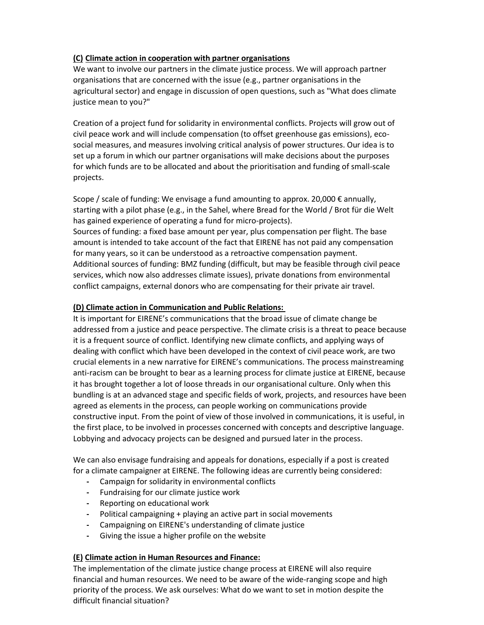# **(C) Climate action in cooperation with partner organisations**

We want to involve our partners in the climate justice process. We will approach partner organisations that are concerned with the issue (e.g., partner organisations in the agricultural sector) and engage in discussion of open questions, such as "What does climate justice mean to you?"

Creation of a project fund for solidarity in environmental conflicts. Projects will grow out of civil peace work and will include compensation (to offset greenhouse gas emissions), ecosocial measures, and measures involving critical analysis of power structures. Our idea is to set up a forum in which our partner organisations will make decisions about the purposes for which funds are to be allocated and about the prioritisation and funding of small-scale projects.

Scope / scale of funding: We envisage a fund amounting to approx. 20,000  $\epsilon$  annually, starting with a pilot phase (e.g., in the Sahel, where Bread for the World / Brot für die Welt has gained experience of operating a fund for micro-projects).

Sources of funding: a fixed base amount per year, plus compensation per flight. The base amount is intended to take account of the fact that EIRENE has not paid any compensation for many years, so it can be understood as a retroactive compensation payment. Additional sources of funding: BMZ funding (difficult, but may be feasible through civil peace services, which now also addresses climate issues), private donations from environmental conflict campaigns, external donors who are compensating for their private air travel.

### **(D) Climate action in Communication and Public Relations:**

It is important for EIRENE's communications that the broad issue of climate change be addressed from a justice and peace perspective. The climate crisis is a threat to peace because it is a frequent source of conflict. Identifying new climate conflicts, and applying ways of dealing with conflict which have been developed in the context of civil peace work, are two crucial elements in a new narrative for EIRENE's communications. The process mainstreaming anti-racism can be brought to bear as a learning process for climate justice at EIRENE, because it has brought together a lot of loose threads in our organisational culture. Only when this bundling is at an advanced stage and specific fields of work, projects, and resources have been agreed as elements in the process, can people working on communications provide constructive input. From the point of view of those involved in communications, it is useful, in the first place, to be involved in processes concerned with concepts and descriptive language. Lobbying and advocacy projects can be designed and pursued later in the process.

We can also envisage fundraising and appeals for donations, especially if a post is created for a climate campaigner at EIRENE. The following ideas are currently being considered:

- **-** Campaign for solidarity in environmental conflicts
- **-** Fundraising for our climate justice work
- **-** Reporting on educational work
- **-** Political campaigning + playing an active part in social movements
- **-** Campaigning on EIRENE's understanding of climate justice
- **-** Giving the issue a higher profile on the website

### **(E) Climate action in Human Resources and Finance:**

The implementation of the climate justice change process at EIRENE will also require financial and human resources. We need to be aware of the wide-ranging scope and high priority of the process. We ask ourselves: What do we want to set in motion despite the difficult financial situation?